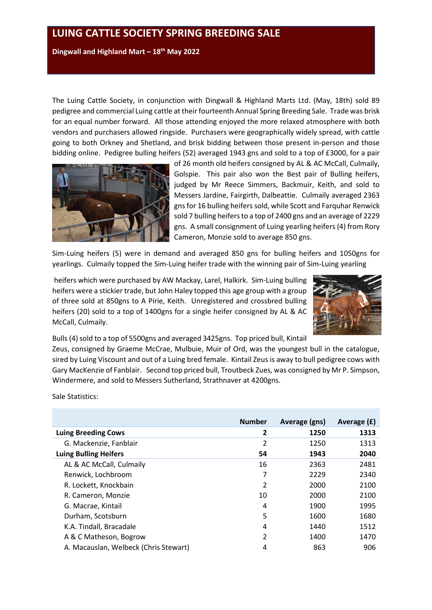**Dingwall and Highland Mart – 18th May 2022**

The Luing Cattle Society, in conjunction with Dingwall & Highland Marts Ltd. (May, 18th) sold 89 pedigree and commercial Luing cattle at their fourteenth Annual Spring Breeding Sale. Trade was brisk for an equal number forward. All those attending enjoyed the more relaxed atmosphere with both vendors and purchasers allowed ringside. Purchasers were geographically widely spread, with cattle going to both Orkney and Shetland, and brisk bidding between those present in-person and those bidding online. Pedigree bulling heifers (52) averaged 1943 gns and sold to a top of £3000, for a pair



of 26 month old heifers consigned by AL & AC McCall, Culmaily, Golspie. This pair also won the Best pair of Bulling heifers, judged by Mr Reece Simmers, Backmuir, Keith, and sold to Messers Jardine, Fairgirth, Dalbeattie. Culmaily averaged 2363 gnsfor 16 bulling heifers sold, while Scott and Farquhar Renwick sold 7 bulling heifers to a top of 2400 gns and an average of 2229 gns. A small consignment of Luing yearling heifers (4) from Rory Cameron, Monzie sold to average 850 gns.

Sim-Luing heifers (5) were in demand and averaged 850 gns for bulling heifers and 1050gns for yearlings. Culmaily topped the Sim-Luing heifer trade with the winning pair of Sim-Luing yearling

heifers which were purchased by AW Mackay, Larel, Halkirk. Sim-Luing bulling heifers were a stickier trade, but John Haley topped this age group with a group of three sold at 850gns to A Pirie, Keith. Unregistered and crossbred bulling heifers (20) sold to a top of 1400gns for a single heifer consigned by AL & AC McCall, Culmaily.



Bulls (4) sold to a top of 5500gns and averaged 3425gns. Top priced bull, Kintail

Zeus, consigned by Graeme McCrae, Mulbuie, Muir of Ord, was the youngest bull in the catalogue, sired by Luing Viscount and out of a Luing bred female. Kintail Zeus is away to bull pedigree cows with Gary MacKenzie of Fanblair. Second top priced bull, Troutbeck Zues, was consigned by Mr P. Simpson, Windermere, and sold to Messers Sutherland, Strathnaver at 4200gns.

Sale Statistics:

|                                       | <b>Number</b> | Average (gns) | Average (£) |
|---------------------------------------|---------------|---------------|-------------|
| <b>Luing Breeding Cows</b>            | 2             | 1250          | 1313        |
| G. Mackenzie, Fanblair                | 2             | 1250          | 1313        |
| <b>Luing Bulling Heifers</b>          | 54            | 1943          | 2040        |
| AL & AC McCall, Culmaily              | 16            | 2363          | 2481        |
| Renwick, Lochbroom                    | 7             | 2229          | 2340        |
| R. Lockett, Knockbain                 | 2             | 2000          | 2100        |
| R. Cameron, Monzie                    | 10            | 2000          | 2100        |
| G. Macrae, Kintail                    | 4             | 1900          | 1995        |
| Durham, Scotsburn                     | 5             | 1600          | 1680        |
| K.A. Tindall, Bracadale               | 4             | 1440          | 1512        |
| A & C Matheson, Bogrow                | 2             | 1400          | 1470        |
| A. Macauslan, Welbeck (Chris Stewart) | 4             | 863           | 906         |